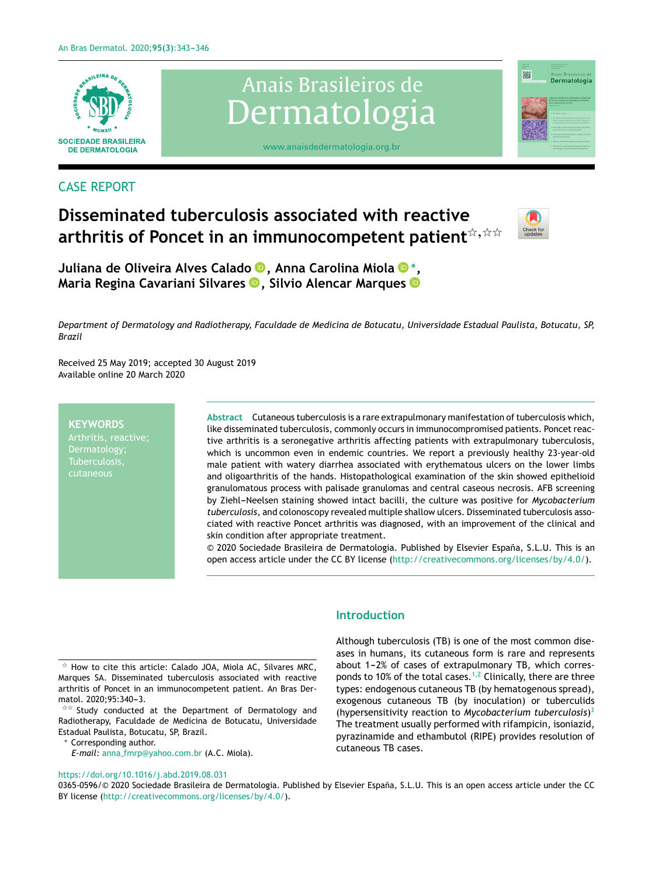

# Anais Brasileiros de Dermatologia



## [www.anaisdedermatologia.org.br](http://www.abd.org)

# CASE REPORT

# **Disseminated tuberculosis associated with reactive**  $\mathsf{arthritis}$  of <code>Poncet</code> in an <code>immunocompetent</code> patient $^{\natural, \natural, \natural}$



**Juliana de Oliveira Alves Calad[o](https://orcid.org/0000-0002-3740-3458) , Anna Carolina Miol[a](https://orcid.org/0000-0001-8926-734X)** <sup>∗</sup> **, Maria Regina Cavariani Silvares [,](https://orcid.org/0000-0003-3935-1185) Silvio Alencar Marque[s](https://orcid.org/0000-0002-5512-4700)**

Department of Dermatology and Radiotherapy, Faculdade de Medicina de Botucatu, Universidade Estadual Paulista, Botucatu, SP, *Brazil*

Received 25 May 2019; accepted 30 August 2019 Available online 20 March 2020

#### **KEYWORDS**

Dermatology; Tuberculosis, cutaneous

Abstract Cutaneous tuberculosis is a rare extrapulmonary manifestation of tuberculosis which, like disseminated tuberculosis, commonly occurs in immunocompromised patients. Poncet reactive arthritis is a seronegative arthritis affecting patients with extrapulmonary tuberculosis, which is uncommon even in endemic countries. We report a previously healthy 23-year-old male patient with watery diarrhea associated with erythematous ulcers on the lower limbs and oligoarthritis of the hands. Histopathological examination of the skin showed epithelioid granulomatous process with palisade granulomas and central caseous necrosis. AFB screening by Ziehl-Neelsen staining showed intact bacilli, the culture was positive for *Mycobacterium tuberculosis*, and colonoscopy revealed multiple shallow ulcers. Disseminated tuberculosis associated with reactive Poncet arthritis was diagnosed, with an improvement of the clinical and skin condition after appropriate treatment.

© 2020 Sociedade Brasileira de Dermatologia. Published by Elsevier España, S.L.U. This is an open access article under the CC BY license ([http://creativecommons.org/licenses/by/4.0/\)](http://creativecommons.org/licenses/by/4.0/).

 $\overrightarrow{x}$  Study conducted at the Department of Dermatology and Radiotherapy, Faculdade de Medicina de Botucatu, Universidade Estadual Paulista, Botucatu, SP, Brazil.

<sup>∗</sup> Corresponding author.

<https://doi.org/10.1016/j.abd.2019.08.031>

### **Introduction**

Although tuberculosis (TB) is one of the most common diseases in humans, its cutaneous form is rare and represents about 1-2% of cases of extrapulmonary TB, which corres-ponds to 10% of the total cases.<sup>[1,2](#page-2-0)</sup> Clinically, there are three types: endogenous cutaneous TB (by hematogenous spread), exogenous cutaneous TB (by inoculation) or tuberculids (hypersensitivity reaction to *Mycobacterium tuberculosis*) [3](#page-2-0) The treatment usually performed with rifampicin, isoniazid, pyrazinamide and ethambutol (RIPE) provides resolution of cutaneous TB cases.

0365-0596/© 2020 Sociedade Brasileira de Dermatologia. Published by Elsevier España, S.L.U. This is an open access article under the CC BY license [\(http://creativecommons.org/licenses/by/4.0/\)](http://creativecommons.org/licenses/by/4.0/).

 $\star$  How to cite this article: Calado JOA, Miola AC, Silvares MRC, Marques SA. Disseminated tuberculosis associated with reactive arthritis of Poncet in an immunocompetent patient. An Bras Dermatol. 2020;95:340-3.

*E-mail:* anna [fmrp@yahoo.com.br](mailto:anna_fmrp@yahoo.com.br) (A.C. Miola).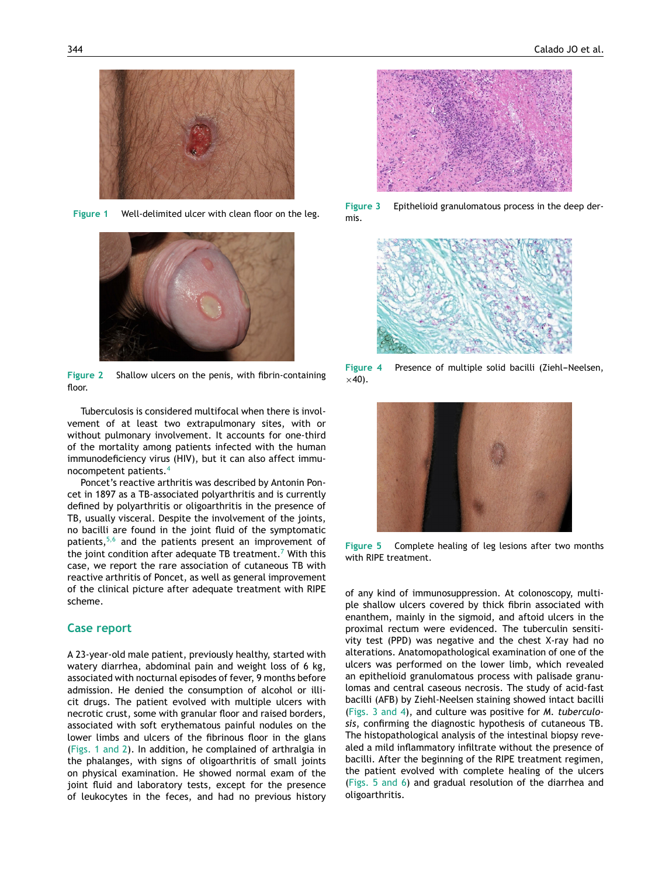

**Figure 1** Well-delimited ulcer with clean floor on the leg.



**Figure 2** Shallow ulcers on the penis, with fibrin-containing floor

Tuberculosis is considered multifocal when there is involvement of at least two extrapulmonary sites, with or without pulmonary involvement. It accounts for one-third of the mortality among patients infected with the human immunodeficiency virus (HIV), but it can also affect immunocompetent patients.[4](#page-2-0)

Poncet's reactive arthritis was described by Antonin Poncet in 1897 as a TB-associated polyarthritis and is currently defined by polyarthritis or oligoarthritis in the presence of TB, usually visceral. Despite the involvement of the joints, no bacilli are found in the joint fluid of the symptomatic patients,<sup>[5,6](#page-3-0)</sup> and the patients present an improvement of the joint condition after adequate TB treatment.<sup>7</sup> [W](#page-3-0)ith this case, we report the rare association of cutaneous TB with reactive arthritis of Poncet, as well as general improvement of the clinical picture after adequate treatment with RIPE scheme.

#### **Case report**

A 23-year-old male patient, previously healthy, started with watery diarrhea, abdominal pain and weight loss of 6 kg, associated with nocturnal episodes of fever, 9 months before admission. He denied the consumption of alcohol or illicit drugs. The patient evolved with multiple ulcers with necrotic crust, some with granular floor and raised borders, associated with soft erythematous painful nodules on the lower limbs and ulcers of the fibrinous floor in the glans (Figs. 1 and 2). In addition, he complained of arthralgia in the phalanges, with signs of oligoarthritis of small joints on physical examination. He showed normal exam of the joint fluid and laboratory tests, except for the presence of leukocytes in the feces, and had no previous history



**Figure 3** Epithelioid granulomatous process in the deep dermis.



**Figure 4** Presence of multiple solid bacilli (Ziehl-Neelsen,  $\times$ 40).



**Figure 5** Complete healing of leg lesions after two months with RIPE treatment.

of any kind of immunosuppression. At colonoscopy, multiple shallow ulcers covered by thick fibrin associated with enanthem, mainly in the sigmoid, and aftoid ulcers in the proximal rectum were evidenced. The tuberculin sensitivity test (PPD) was negative and the chest X-ray had no alterations. Anatomopathological examination of one of the ulcers was performed on the lower limb, which revealed an epithelioid granulomatous process with palisade granulomas and central caseous necrosis. The study of acid-fast bacilli (AFB) by Ziehl-Neelsen staining showed intact bacilli (Figs. 3 and 4), and culture was positive for *M. tuberculosis*, confirming the diagnostic hypothesis of cutaneous TB. The histopathological analysis of the intestinal biopsy revealed a mild inflammatory infiltrate without the presence of bacilli. After the beginning of the RIPE treatment regimen, the patient evolved with complete healing of the ulcers (Figs. 5 and 6) and gradual resolution of the diarrhea and oligoarthritis.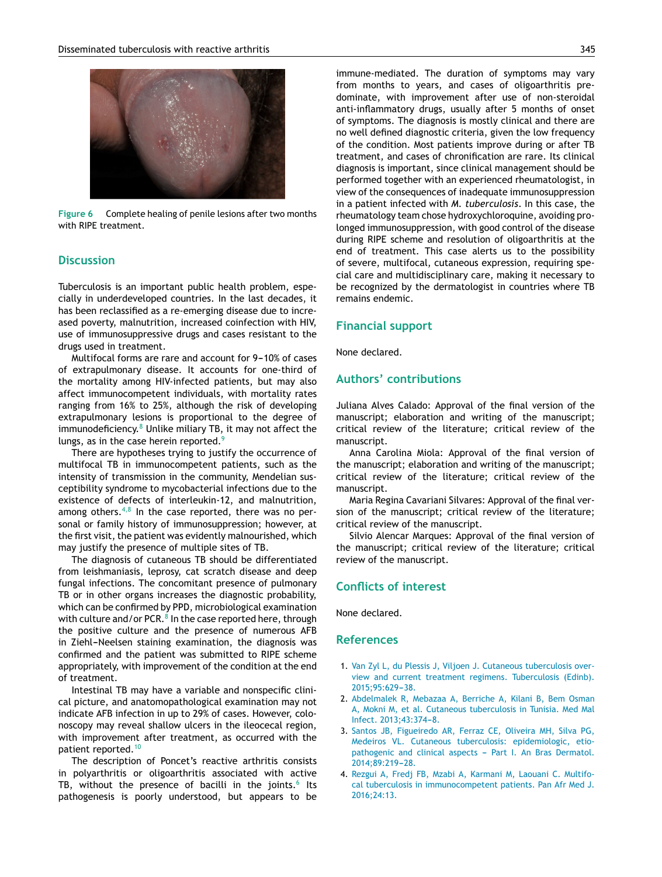<span id="page-2-0"></span>

**Figure 6** Complete healing of penile lesions after two months with RIPE treatment.

#### **Discussion**

Tuberculosis is an important public health problem, especially in underdeveloped countries. In the last decades, it has been reclassified as a re-emerging disease due to increased poverty, malnutrition, increased coinfection with HIV, use of immunosuppressive drugs and cases resistant to the drugs used in treatment.

Multifocal forms are rare and account for 9-10% of cases of extrapulmonary disease. It accounts for one-third of the mortality among HIV-infected patients, but may also affect immunocompetent individuals, with mortality rates ranging from 16% to 25%, although the risk of developing extrapulmonary lesions is proportional to the degree of immunodeficiency. $8$  Unlike miliary TB, it may not affect the lungs, as in the case herein reported.<sup>[9](#page-3-0)</sup>

There are hypotheses trying to justify the occurrence of multifocal TB in immunocompetent patients, such as the intensity of transmission in the community, Mendelian susceptibility syndrome to mycobacterial infections due to the existence of defects of interleukin-12, and malnutrition, among others. $4,8$  In the case reported, there was no personal or family history of immunosuppression; however, at the first visit, the patient was evidently malnourished, which may justify the presence of multiple sites of TB.

The diagnosis of cutaneous TB should be differentiated from leishmaniasis, leprosy, cat scratch disease and deep fungal infections. The concomitant presence of pulmonary TB or in other organs increases the diagnostic probability, which can be confirmed by PPD, microbiological examination with culture and/or PCR. $^8$  [In](#page-3-0) the case reported here, through the positive culture and the presence of numerous AFB in Ziehl-Neelsen staining examination, the diagnosis was confirmed and the patient was submitted to RIPE scheme appropriately, with improvement of the condition at the end of treatment.

Intestinal TB may have a variable and nonspecific clinical picture, and anatomopathological examination may not indicate AFB infection in up to 29% of cases. However, colonoscopy may reveal shallow ulcers in the ileocecal region, with improvement after treatment, as occurred with the patient reported.[10](#page-3-0)

The description of Poncet's reactive arthritis consists in polyarthritis or oligoarthritis associated with active TB, without the presence of bacilli in the joints. $^6$  $^6$  Its pathogenesis is poorly understood, but appears to be

immune-mediated. The duration of symptoms may vary from months to years, and cases of oligoarthritis predominate, with improvement after use of non-steroidal anti-inflammatory drugs, usually after 5 months of onset of symptoms. The diagnosis is mostly clinical and there are no well defined diagnostic criteria, given the low frequency of the condition. Most patients improve during or after TB treatment, and cases of chronification are rare. Its clinical diagnosis is important, since clinical management should be performed together with an experienced rheumatologist, in view of the consequences of inadequate immunosuppression in a patient infected with *M. tuberculosis*. In this case, the rheumatology team chose hydroxychloroquine, avoiding prolonged immunosuppression, with good control of the disease during RIPE scheme and resolution of oligoarthritis at the end of treatment. This case alerts us to the possibility of severe, multifocal, cutaneous expression, requiring special care and multidisciplinary care, making it necessary to be recognized by the dermatologist in countries where TB remains endemic.

#### **Financial support**

None declared.

#### **Authors' contributions**

Juliana Alves Calado: Approval of the final version of the manuscript; elaboration and writing of the manuscript; critical review of the literature; critical review of the manuscript.

Anna Carolina Miola: Approval of the final version of the manuscript; elaboration and writing of the manuscript; critical review of the literature; critical review of the manuscript.

Maria Regina Cavariani Silvares: Approval of the final version of the manuscript; critical review of the literature; critical review of the manuscript.

Silvio Alencar Marques: Approval of the final version of the manuscript; critical review of the literature; critical review of the manuscript.

#### **Conflicts of interest**

None declared.

#### **References**

- 1. [Van](http://refhub.elsevier.com/S0365-0596(20)30090-8/sbref0055) [Zyl](http://refhub.elsevier.com/S0365-0596(20)30090-8/sbref0055) [L,](http://refhub.elsevier.com/S0365-0596(20)30090-8/sbref0055) [du](http://refhub.elsevier.com/S0365-0596(20)30090-8/sbref0055) [Plessis](http://refhub.elsevier.com/S0365-0596(20)30090-8/sbref0055) [J,](http://refhub.elsevier.com/S0365-0596(20)30090-8/sbref0055) [Viljoen](http://refhub.elsevier.com/S0365-0596(20)30090-8/sbref0055) [J.](http://refhub.elsevier.com/S0365-0596(20)30090-8/sbref0055) [Cutaneous](http://refhub.elsevier.com/S0365-0596(20)30090-8/sbref0055) [tuberculosis](http://refhub.elsevier.com/S0365-0596(20)30090-8/sbref0055) [over](http://refhub.elsevier.com/S0365-0596(20)30090-8/sbref0055)[view](http://refhub.elsevier.com/S0365-0596(20)30090-8/sbref0055) [and](http://refhub.elsevier.com/S0365-0596(20)30090-8/sbref0055) [current](http://refhub.elsevier.com/S0365-0596(20)30090-8/sbref0055) [treatment](http://refhub.elsevier.com/S0365-0596(20)30090-8/sbref0055) [regimens.](http://refhub.elsevier.com/S0365-0596(20)30090-8/sbref0055) [Tuberculosis](http://refhub.elsevier.com/S0365-0596(20)30090-8/sbref0055) [\(Edinb\).](http://refhub.elsevier.com/S0365-0596(20)30090-8/sbref0055) [2015;95:629](http://refhub.elsevier.com/S0365-0596(20)30090-8/sbref0055)-[38.](http://refhub.elsevier.com/S0365-0596(20)30090-8/sbref0055)
- 2. [Abdelmalek](http://refhub.elsevier.com/S0365-0596(20)30090-8/sbref0060) [R,](http://refhub.elsevier.com/S0365-0596(20)30090-8/sbref0060) [Mebazaa](http://refhub.elsevier.com/S0365-0596(20)30090-8/sbref0060) [A,](http://refhub.elsevier.com/S0365-0596(20)30090-8/sbref0060) [Berriche](http://refhub.elsevier.com/S0365-0596(20)30090-8/sbref0060) [A,](http://refhub.elsevier.com/S0365-0596(20)30090-8/sbref0060) [Kilani](http://refhub.elsevier.com/S0365-0596(20)30090-8/sbref0060) [B,](http://refhub.elsevier.com/S0365-0596(20)30090-8/sbref0060) [Bem](http://refhub.elsevier.com/S0365-0596(20)30090-8/sbref0060) [Osman](http://refhub.elsevier.com/S0365-0596(20)30090-8/sbref0060) [A,](http://refhub.elsevier.com/S0365-0596(20)30090-8/sbref0060) [Mokni](http://refhub.elsevier.com/S0365-0596(20)30090-8/sbref0060) [M,](http://refhub.elsevier.com/S0365-0596(20)30090-8/sbref0060) [et](http://refhub.elsevier.com/S0365-0596(20)30090-8/sbref0060) [al.](http://refhub.elsevier.com/S0365-0596(20)30090-8/sbref0060) [Cutaneous](http://refhub.elsevier.com/S0365-0596(20)30090-8/sbref0060) [tuberculosis](http://refhub.elsevier.com/S0365-0596(20)30090-8/sbref0060) [in](http://refhub.elsevier.com/S0365-0596(20)30090-8/sbref0060) [Tunisia.](http://refhub.elsevier.com/S0365-0596(20)30090-8/sbref0060) [Med](http://refhub.elsevier.com/S0365-0596(20)30090-8/sbref0060) [Mal](http://refhub.elsevier.com/S0365-0596(20)30090-8/sbref0060) [Infect.](http://refhub.elsevier.com/S0365-0596(20)30090-8/sbref0060) 2013:43:374-[8.](http://refhub.elsevier.com/S0365-0596(20)30090-8/sbref0060)
- 3. [Santos](http://refhub.elsevier.com/S0365-0596(20)30090-8/sbref0065) [JB,](http://refhub.elsevier.com/S0365-0596(20)30090-8/sbref0065) [Figueiredo](http://refhub.elsevier.com/S0365-0596(20)30090-8/sbref0065) [AR,](http://refhub.elsevier.com/S0365-0596(20)30090-8/sbref0065) [Ferraz](http://refhub.elsevier.com/S0365-0596(20)30090-8/sbref0065) [CE,](http://refhub.elsevier.com/S0365-0596(20)30090-8/sbref0065) [Oliveira](http://refhub.elsevier.com/S0365-0596(20)30090-8/sbref0065) [MH,](http://refhub.elsevier.com/S0365-0596(20)30090-8/sbref0065) [Silva](http://refhub.elsevier.com/S0365-0596(20)30090-8/sbref0065) [PG,](http://refhub.elsevier.com/S0365-0596(20)30090-8/sbref0065) [Medeiros](http://refhub.elsevier.com/S0365-0596(20)30090-8/sbref0065) [VL.](http://refhub.elsevier.com/S0365-0596(20)30090-8/sbref0065) [Cutaneous](http://refhub.elsevier.com/S0365-0596(20)30090-8/sbref0065) [tuberculosis:](http://refhub.elsevier.com/S0365-0596(20)30090-8/sbref0065) [epidemiologic,](http://refhub.elsevier.com/S0365-0596(20)30090-8/sbref0065) [etio](http://refhub.elsevier.com/S0365-0596(20)30090-8/sbref0065)[pathogenic](http://refhub.elsevier.com/S0365-0596(20)30090-8/sbref0065) [and](http://refhub.elsevier.com/S0365-0596(20)30090-8/sbref0065) [clinical](http://refhub.elsevier.com/S0365-0596(20)30090-8/sbref0065) [aspects](http://refhub.elsevier.com/S0365-0596(20)30090-8/sbref0065) - [Part](http://refhub.elsevier.com/S0365-0596(20)30090-8/sbref0065) [I.](http://refhub.elsevier.com/S0365-0596(20)30090-8/sbref0065) [An](http://refhub.elsevier.com/S0365-0596(20)30090-8/sbref0065) [Bras](http://refhub.elsevier.com/S0365-0596(20)30090-8/sbref0065) [Dermatol.](http://refhub.elsevier.com/S0365-0596(20)30090-8/sbref0065) [2014;89:219](http://refhub.elsevier.com/S0365-0596(20)30090-8/sbref0065)[-28.](http://refhub.elsevier.com/S0365-0596(20)30090-8/sbref0065)
- 4. [Rezgui](http://refhub.elsevier.com/S0365-0596(20)30090-8/sbref0070) [A,](http://refhub.elsevier.com/S0365-0596(20)30090-8/sbref0070) [Fredj](http://refhub.elsevier.com/S0365-0596(20)30090-8/sbref0070) [FB,](http://refhub.elsevier.com/S0365-0596(20)30090-8/sbref0070) [Mzabi](http://refhub.elsevier.com/S0365-0596(20)30090-8/sbref0070) [A,](http://refhub.elsevier.com/S0365-0596(20)30090-8/sbref0070) [Karmani](http://refhub.elsevier.com/S0365-0596(20)30090-8/sbref0070) [M,](http://refhub.elsevier.com/S0365-0596(20)30090-8/sbref0070) [Laouani](http://refhub.elsevier.com/S0365-0596(20)30090-8/sbref0070) [C.](http://refhub.elsevier.com/S0365-0596(20)30090-8/sbref0070) [Multifo](http://refhub.elsevier.com/S0365-0596(20)30090-8/sbref0070)[cal](http://refhub.elsevier.com/S0365-0596(20)30090-8/sbref0070) [tuberculosis](http://refhub.elsevier.com/S0365-0596(20)30090-8/sbref0070) [in](http://refhub.elsevier.com/S0365-0596(20)30090-8/sbref0070) [immunocompetent](http://refhub.elsevier.com/S0365-0596(20)30090-8/sbref0070) [patients.](http://refhub.elsevier.com/S0365-0596(20)30090-8/sbref0070) [Pan](http://refhub.elsevier.com/S0365-0596(20)30090-8/sbref0070) [Afr](http://refhub.elsevier.com/S0365-0596(20)30090-8/sbref0070) [Med](http://refhub.elsevier.com/S0365-0596(20)30090-8/sbref0070) [J.](http://refhub.elsevier.com/S0365-0596(20)30090-8/sbref0070) [2016;24:13.](http://refhub.elsevier.com/S0365-0596(20)30090-8/sbref0070)